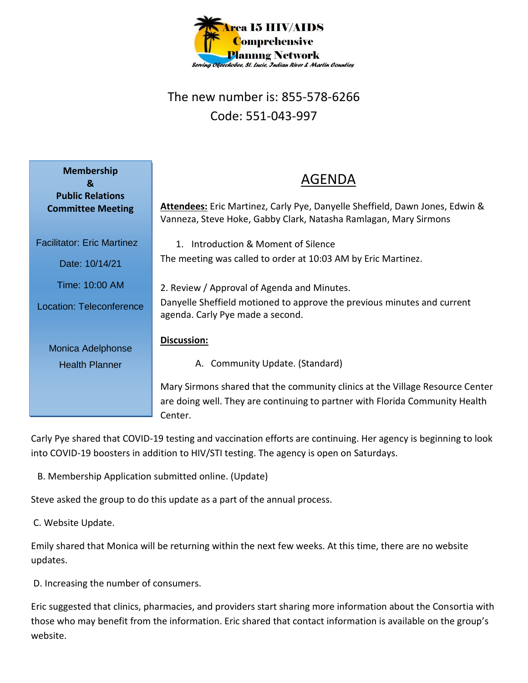

## The new number is: 855-578-6266 Code: 551-043-997

| <b>Membership</b><br>&<br><b>Public Relations</b><br><b>Committee Meeting</b>                            | <b>AGENDA</b><br><b>Attendees:</b> Eric Martinez, Carly Pye, Danyelle Sheffield, Dawn Jones, Edwin &<br>Vanneza, Steve Hoke, Gabby Clark, Natasha Ramlagan, Mary Sirmons                                                                                           |
|----------------------------------------------------------------------------------------------------------|--------------------------------------------------------------------------------------------------------------------------------------------------------------------------------------------------------------------------------------------------------------------|
| <b>Facilitator: Eric Martinez</b><br>Date: 10/14/21<br>Time: 10:00 AM<br><b>Location: Teleconference</b> | 1. Introduction & Moment of Silence<br>The meeting was called to order at 10:03 AM by Eric Martinez.<br>2. Review / Approval of Agenda and Minutes.<br>Danyelle Sheffield motioned to approve the previous minutes and current<br>agenda. Carly Pye made a second. |
| Monica Adelphonse<br><b>Health Planner</b>                                                               | Discussion:<br>A. Community Update. (Standard)<br>Mary Sirmons shared that the community clinics at the Village Resource Center<br>are doing well. They are continuing to partner with Florida Community Health<br>Center.                                         |

Carly Pye shared that COVID-19 testing and vaccination efforts are continuing. Her agency is beginning to look into COVID-19 boosters in addition to HIV/STI testing. The agency is open on Saturdays.

B. Membership Application submitted online. (Update)

Steve asked the group to do this update as a part of the annual process.

C. Website Update.

Emily shared that Monica will be returning within the next few weeks. At this time, there are no website updates.

D. Increasing the number of consumers.

Eric suggested that clinics, pharmacies, and providers start sharing more information about the Consortia with those who may benefit from the information. Eric shared that contact information is available on the group's website.